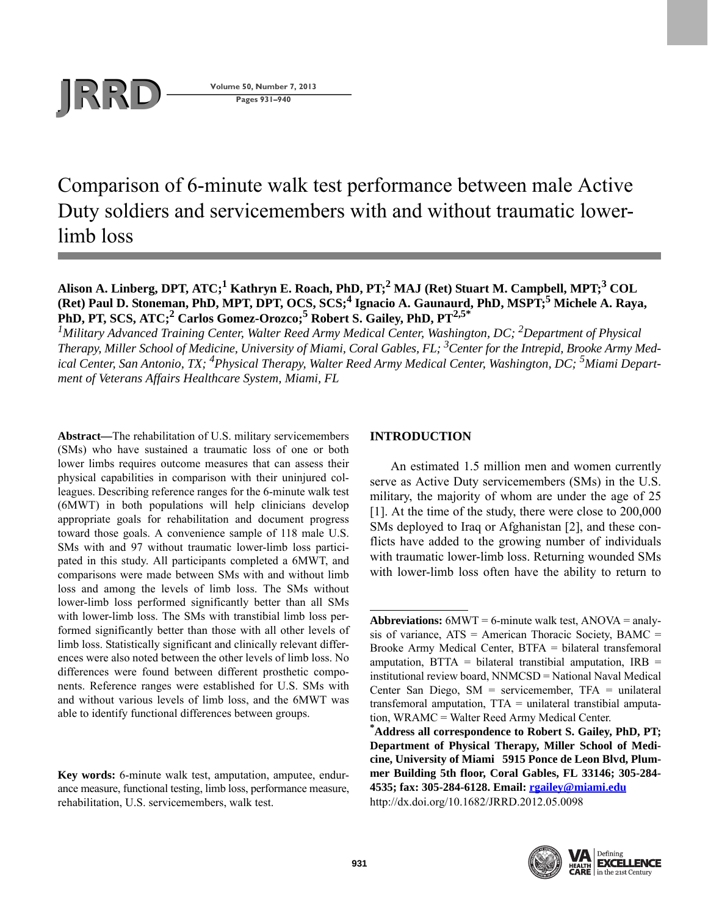

**Pages 931–940**

Comparison of 6-minute walk test performance between male Active Duty soldiers and servicemembers with and without traumatic lowerlimb loss

Alison A. Linberg, DPT, ATC;<sup>1</sup> Kathryn E. Roach, PhD, PT;<sup>2</sup> MAJ (Ret) Stuart M. Campbell, MPT;<sup>3</sup> COL (Ret) Paul D. Stoneman, PhD, MPT, DPT, OCS, SCS;<sup>4</sup> Ignacio A. Gaunaurd, PhD, MSPT;<sup>5</sup> Michele A. Raya, PhD, PT, SCS, ATC;<sup>2</sup> Carlos Gomez-Orozco;<sup>5</sup> Robert S. Gailey, PhD, PT<sup>2,5\*</sup>

<sup>1</sup> Military Advanced Training Center, Walter Reed Army Medical Center, Washington, DC; <sup>2</sup>Department of Physical *Therapy, Miller School of Medicine, University of Miami, Coral Gables, FL; 3 Center for the Intrepid, Brooke Army Medical Center, San Antonio, TX; 4Physical Therapy, Walter Reed Army Medical Center, Washington, DC; 5Miami Department of Veterans Affairs Healthcare System, Miami, FL*

**Abstract—**The rehabilitation of U.S. military servicemembers (SMs) who have sustained a traumatic loss of one or both lower limbs requires outcome measures that can assess their physical capabilities in comparison with their uninjured colleagues. Describing reference ranges for the 6-minute walk test (6MWT) in both populations will help clinicians develop appropriate goals for rehabilitation and document progress toward those goals. A convenience sample of 118 male U.S. SMs with and 97 without traumatic lower-limb loss participated in this study. All participants completed a 6MWT, and comparisons were made between SMs with and without limb loss and among the levels of limb loss. The SMs without lower-limb loss performed significantly better than all SMs with lower-limb loss. The SMs with transtibial limb loss performed significantly better than those with all other levels of limb loss. Statistically significant and clinically relevant differences were also noted between the other levels of limb loss. No differences were found between different prosthetic components. Reference ranges were established for U.S. SMs with and without various levels of limb loss, and the 6MWT was able to identify functional differences between groups.

**Key words:** 6-minute walk test, amputation, amputee, endurance measure, functional testing, limb loss, performance measure, rehabilitation, U.S. servicemembers, walk test.

# **INTRODUCTION**

An estimated 1.5 million men and women currently serve as Active Duty servicemembers (SMs) in the U.S. military, the majority of whom are under the age of 25 [1]. At the time of the study, there were close to 200,000 SMs deployed to Iraq or Afghanistan [2], and these conflicts have added to the growing number of individuals with traumatic lower-limb loss. Returning wounded SMs with lower-limb loss often have the ability to return to

**<sup>\*</sup>Address all correspondence to Robert S. Gailey, PhD, PT; Department of Physical Therapy, Miller School of Medicine, University of Miami 5915 Ponce de Leon Blvd, Plummer Building 5th floor, Coral Gables, FL 33146; 305-284- 4535; fax: 305-284-6128. Email: [rgailey@miami.edu](mailto:rgailey@miami.edu)** http://dx.doi.org/10.1682/JRRD.2012.05.0098



**Abbreviations:** 6MWT = 6-minute walk test, ANOVA = analysis of variance,  $ATS = American Thoracic Society, BAMC =$ Brooke Army Medical Center, BTFA = bilateral transfemoral amputation,  $BTTA = bilateral$  transtibial amputation,  $IRB =$ institutional review board, NNMCSD = National Naval Medical Center San Diego,  $SM$  = servicemember,  $TFA$  = unilateral transfemoral amputation, TTA = unilateral transtibial amputation, WRAMC = Walter Reed Army Medical Center.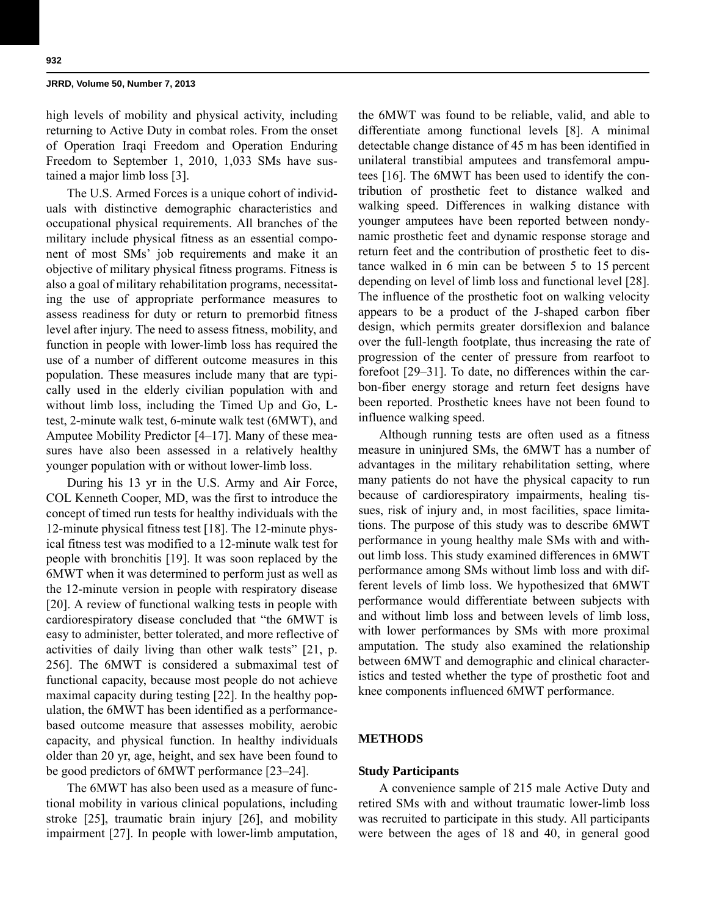high levels of mobility and physical activity, including returning to Active Duty in combat roles. From the onset of Operation Iraqi Freedom and Operation Enduring Freedom to September 1, 2010, 1,033 SMs have sustained a major limb loss [3].

The U.S. Armed Forces is a unique cohort of individuals with distinctive demographic characteristics and occupational physical requirements. All branches of the military include physical fitness as an essential component of most SMs' job requirements and make it an objective of military physical fitness programs. Fitness is also a goal of military rehabilitation programs, necessitating the use of appropriate performance measures to assess readiness for duty or return to premorbid fitness level after injury. The need to assess fitness, mobility, and function in people with lower-limb loss has required the use of a number of different outcome measures in this population. These measures include many that are typically used in the elderly civilian population with and without limb loss, including the Timed Up and Go, Ltest, 2-minute walk test, 6-minute walk test (6MWT), and Amputee Mobility Predictor [4–17]. Many of these measures have also been assessed in a relatively healthy younger population with or without lower-limb loss.

During his 13 yr in the U.S. Army and Air Force, COL Kenneth Cooper, MD, was the first to introduce the concept of timed run tests for healthy individuals with the 12-minute physical fitness test [18]. The 12-minute physical fitness test was modified to a 12-minute walk test for people with bronchitis [19]. It was soon replaced by the 6MWT when it was determined to perform just as well as the 12-minute version in people with respiratory disease [20]. A review of functional walking tests in people with cardiorespiratory disease concluded that "the 6MWT is easy to administer, better tolerated, and more reflective of activities of daily living than other walk tests" [21, p. 256]. The 6MWT is considered a submaximal test of functional capacity, because most people do not achieve maximal capacity during testing [22]. In the healthy population, the 6MWT has been identified as a performancebased outcome measure that assesses mobility, aerobic capacity, and physical function. In healthy individuals older than 20 yr, age, height, and sex have been found to be good predictors of 6MWT performance [23–24].

The 6MWT has also been used as a measure of functional mobility in various clinical populations, including stroke [25], traumatic brain injury [26], and mobility impairment [27]. In people with lower-limb amputation, the 6MWT was found to be reliable, valid, and able to differentiate among functional levels [8]. A minimal detectable change distance of 45 m has been identified in unilateral transtibial amputees and transfemoral amputees [16]. The 6MWT has been used to identify the contribution of prosthetic feet to distance walked and walking speed. Differences in walking distance with younger amputees have been reported between nondynamic prosthetic feet and dynamic response storage and return feet and the contribution of prosthetic feet to distance walked in 6 min can be between 5 to 15 percent depending on level of limb loss and functional level [28]. The influence of the prosthetic foot on walking velocity appears to be a product of the J-shaped carbon fiber design, which permits greater dorsiflexion and balance over the full-length footplate, thus increasing the rate of progression of the center of pressure from rearfoot to forefoot [29–31]. To date, no differences within the carbon-fiber energy storage and return feet designs have been reported. Prosthetic knees have not been found to influence walking speed.

Although running tests are often used as a fitness measure in uninjured SMs, the 6MWT has a number of advantages in the military rehabilitation setting, where many patients do not have the physical capacity to run because of cardiorespiratory impairments, healing tissues, risk of injury and, in most facilities, space limitations. The purpose of this study was to describe 6MWT performance in young healthy male SMs with and without limb loss. This study examined differences in 6MWT performance among SMs without limb loss and with different levels of limb loss. We hypothesized that 6MWT performance would differentiate between subjects with and without limb loss and between levels of limb loss, with lower performances by SMs with more proximal amputation. The study also examined the relationship between 6MWT and demographic and clinical characteristics and tested whether the type of prosthetic foot and knee components influenced 6MWT performance.

# **METHODS**

### **Study Participants**

A convenience sample of 215 male Active Duty and retired SMs with and without traumatic lower-limb loss was recruited to participate in this study. All participants were between the ages of 18 and 40, in general good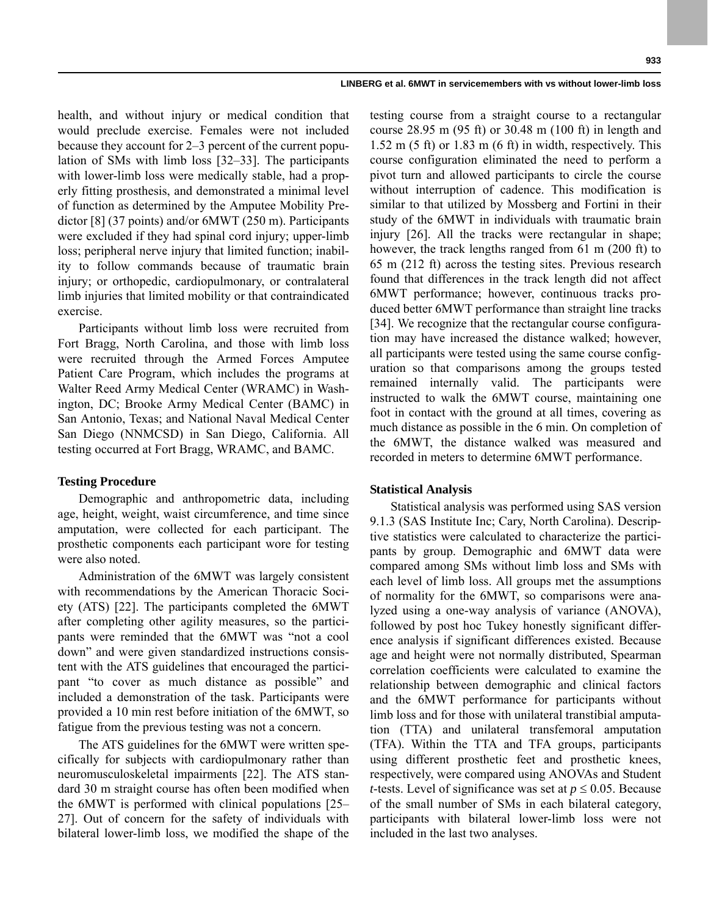health, and without injury or medical condition that would preclude exercise. Females were not included because they account for 2–3 percent of the current population of SMs with limb loss [32–33]. The participants with lower-limb loss were medically stable, had a properly fitting prosthesis, and demonstrated a minimal level of function as determined by the Amputee Mobility Predictor [8] (37 points) and/or 6MWT (250 m). Participants were excluded if they had spinal cord injury; upper-limb loss; peripheral nerve injury that limited function; inability to follow commands because of traumatic brain injury; or orthopedic, cardiopulmonary, or contralateral limb injuries that limited mobility or that contraindicated exercise.

Participants without limb loss were recruited from Fort Bragg, North Carolina, and those with limb loss were recruited through the Armed Forces Amputee Patient Care Program, which includes the programs at Walter Reed Army Medical Center (WRAMC) in Washington, DC; Brooke Army Medical Center (BAMC) in San Antonio, Texas; and National Naval Medical Center San Diego (NNMCSD) in San Diego, California. All testing occurred at Fort Bragg, WRAMC, and BAMC.

### **Testing Procedure**

Demographic and anthropometric data, including age, height, weight, waist circumference, and time since amputation, were collected for each participant. The prosthetic components each participant wore for testing were also noted.

Administration of the 6MWT was largely consistent with recommendations by the American Thoracic Society (ATS) [22]. The participants completed the 6MWT after completing other agility measures, so the participants were reminded that the 6MWT was "not a cool down" and were given standardized instructions consistent with the ATS guidelines that encouraged the participant "to cover as much distance as possible" and included a demonstration of the task. Participants were provided a 10 min rest before initiation of the 6MWT, so fatigue from the previous testing was not a concern.

The ATS guidelines for the 6MWT were written specifically for subjects with cardiopulmonary rather than neuromusculoskeletal impairments [22]. The ATS standard 30 m straight course has often been modified when the 6MWT is performed with clinical populations [25– 27]. Out of concern for the safety of individuals with bilateral lower-limb loss, we modified the shape of the

testing course from a straight course to a rectangular course 28.95 m (95 ft) or 30.48 m (100 ft) in length and 1.52 m (5 ft) or 1.83 m (6 ft) in width, respectively. This course configuration eliminated the need to perform a pivot turn and allowed participants to circle the course without interruption of cadence. This modification is similar to that utilized by Mossberg and Fortini in their study of the 6MWT in individuals with traumatic brain injury [26]. All the tracks were rectangular in shape; however, the track lengths ranged from 61 m (200 ft) to 65 m (212 ft) across the testing sites. Previous research found that differences in the track length did not affect 6MWT performance; however, continuous tracks produced better 6MWT performance than straight line tracks [34]. We recognize that the rectangular course configuration may have increased the distance walked; however, all participants were tested using the same course configuration so that comparisons among the groups tested remained internally valid. The participants were instructed to walk the 6MWT course, maintaining one foot in contact with the ground at all times, covering as much distance as possible in the 6 min. On completion of the 6MWT, the distance walked was measured and recorded in meters to determine 6MWT performance.

# **Statistical Analysis**

Statistical analysis was performed using SAS version 9.1.3 (SAS Institute Inc; Cary, North Carolina). Descriptive statistics were calculated to characterize the participants by group. Demographic and 6MWT data were compared among SMs without limb loss and SMs with each level of limb loss. All groups met the assumptions of normality for the 6MWT, so comparisons were analyzed using a one-way analysis of variance (ANOVA), followed by post hoc Tukey honestly significant difference analysis if significant differences existed. Because age and height were not normally distributed, Spearman correlation coefficients were calculated to examine the relationship between demographic and clinical factors and the 6MWT performance for participants without limb loss and for those with unilateral transtibial amputation (TTA) and unilateral transfemoral amputation (TFA). Within the TTA and TFA groups, participants using different prosthetic feet and prosthetic knees, respectively, were compared using ANOVAs and Student *t*-tests. Level of significance was set at  $p \leq 0.05$ . Because of the small number of SMs in each bilateral category, participants with bilateral lower-limb loss were not included in the last two analyses.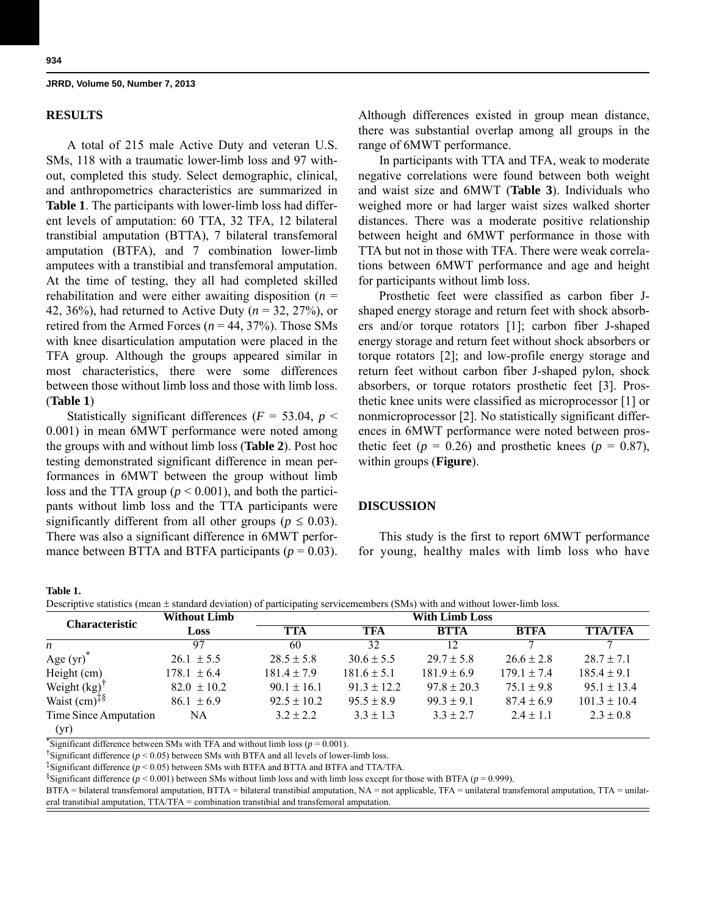## **RESULTS**

A total of 215 male Active Duty and veteran U.S. SMs, 118 with a traumatic lower-limb loss and 97 without, completed this study. Select demographic, clinical, and anthropometrics characteristics are summarized in **Table 1**. The participants with lower-limb loss had different levels of amputation: 60 TTA, 32 TFA, 12 bilateral transtibial amputation (BTTA), 7 bilateral transfemoral amputation (BTFA), and 7 combination lower-limb amputees with a transtibial and transfemoral amputation. At the time of testing, they all had completed skilled rehabilitation and were either awaiting disposition  $(n =$ 42, 36%), had returned to Active Duty (*n* = 32, 27%), or retired from the Armed Forces ( $n = 44, 37\%$ ). Those SMs with knee disarticulation amputation were placed in the TFA group. Although the groups appeared similar in most characteristics, there were some differences between those without limb loss and those with limb loss. (**Table 1**)

Statistically significant differences ( $F = 53.04$ ,  $p <$ 0.001) in mean 6MWT performance were noted among the groups with and without limb loss (**Table 2**). Post hoc testing demonstrated significant difference in mean performances in 6MWT between the group without limb loss and the TTA group ( $p < 0.001$ ), and both the participants without limb loss and the TTA participants were significantly different from all other groups ( $p \leq 0.03$ ). There was also a significant difference in 6MWT performance between BTTA and BTFA participants  $(p = 0.03)$ . Although differences existed in group mean distance, there was substantial overlap among all groups in the range of 6MWT performance.

In participants with TTA and TFA, weak to moderate negative correlations were found between both weight and waist size and 6MWT (**Table 3**). Individuals who weighed more or had larger waist sizes walked shorter distances. There was a moderate positive relationship between height and 6MWT performance in those with TTA but not in those with TFA. There were weak correlations between 6MWT performance and age and height for participants without limb loss.

Prosthetic feet were classified as carbon fiber Jshaped energy storage and return feet with shock absorbers and/or torque rotators [1]; carbon fiber J-shaped energy storage and return feet without shock absorbers or torque rotators [2]; and low-profile energy storage and return feet without carbon fiber J-shaped pylon, shock absorbers, or torque rotators prosthetic feet [3]. Prosthetic knee units were classified as microprocessor [1] or nonmicroprocessor [2]. No statistically significant differences in 6MWT performance were noted between prosthetic feet ( $p = 0.26$ ) and prosthetic knees ( $p = 0.87$ ), within groups (**Figure**).

## **DISCUSSION**

This study is the first to report 6MWT performance for young, healthy males with limb loss who have

#### **Table 1.**

Descriptive statistics (mean  $\pm$  standard deviation) of participating servicemembers (SMs) with and without lower-limb loss.

| <b>Characteristic</b>      | <b>Without Limb</b> | <b>With Limb Loss</b> |                 |                 |                 |                  |
|----------------------------|---------------------|-----------------------|-----------------|-----------------|-----------------|------------------|
|                            | Loss                | <b>TTA</b>            | TFA             | <b>BTTA</b>     | <b>BTFA</b>     | <b>TTA/TFA</b>   |
| $\boldsymbol{n}$           | 97                  | 60                    | 32              | 12              |                 |                  |
| Age $(yr)^*$               | $26.1 \pm 5.5$      | $28.5 \pm 5.8$        | $30.6 \pm 5.5$  | $29.7 \pm 5.8$  | $26.6 \pm 2.8$  | $28.7 \pm 7.1$   |
| Height (cm)                | $178.1 \pm 6.4$     | $181.4 \pm 7.9$       | $181.6 \pm 5.1$ | $181.9 \pm 6.9$ | $179.1 \pm 7.4$ | $185.4 \pm 9.1$  |
| Weight $(kg)$              | $82.0 \pm 10.2$     | $90.1 \pm 16.1$       | $91.3 \pm 12.2$ | $97.8 \pm 20.3$ | $75.1 \pm 9.8$  | $95.1 \pm 13.4$  |
| Waist $(cm)^{\ddagger \S}$ | $86.1 \pm 6.9$      | $92.5 \pm 10.2$       | $95.5 \pm 8.9$  | $99.3 \pm 9.1$  | $87.4 \pm 6.9$  | $101.3 \pm 10.4$ |
| Time Since Amputation      | NA                  | $3.2 \pm 2.2$         | $3.3 \pm 1.3$   | $3.3 \pm 2.7$   | $2.4 \pm 1.1$   | $2.3 \pm 0.8$    |
| (yr)                       |                     |                       |                 |                 |                 |                  |

Significant difference between SMs with TFA and without limb loss ( $p = 0.001$ ).

<sup>†</sup>Significant difference ( $p < 0.05$ ) between SMs with BTFA and all levels of lower-limb loss.

<sup>‡</sup>Significant difference ( $p < 0.05$ ) between SMs with BTFA and BTTA and BTFA and TTA/TFA.

§Significant difference ( $p < 0.001$ ) between SMs without limb loss and with limb loss except for those with BTFA ( $p = 0.999$ ).

BTFA = bilateral transfemoral amputation, BTTA = bilateral transtibial amputation, NA = not applicable, TFA = unilateral transfemoral amputation, TTA = unilateral transtibial amputation, TTA/TFA = combination transtibial and transfemoral amputation.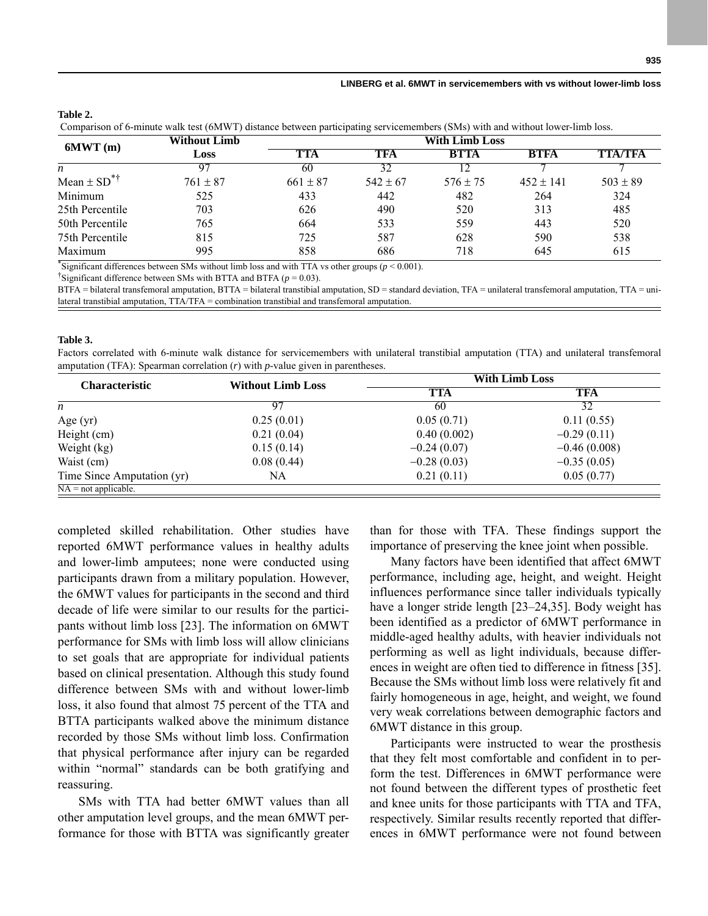# **Table 2.**

Comparison of 6-minute walk test (6MWT) distance between participating servicemembers (SMs) with and without lower-limb loss.

| 6MWT(m)                     | <b>Without Limb</b> | <b>With Limb Loss</b> |              |              |               |                |
|-----------------------------|---------------------|-----------------------|--------------|--------------|---------------|----------------|
|                             | Loss                | TTA                   | TFA          | <b>BTTA</b>  | <b>BTFA</b>   | <b>TTA/TFA</b> |
| n                           | 97                  | 60                    | 32           |              |               |                |
| Mean $\pm$ SD <sup>*†</sup> | $761 \pm 87$        | $661 \pm 87$          | $542 \pm 67$ | $576 \pm 75$ | $452 \pm 141$ | $503 \pm 89$   |
| Minimum                     | 525                 | 433                   | 442          | 482          | 264           | 324            |
| 25th Percentile             | 703                 | 626                   | 490          | 520          | 313           | 485            |
| 50th Percentile             | 765                 | 664                   | 533          | 559          | 443           | 520            |
| 75th Percentile             | 815                 | 725                   | 587          | 628          | 590           | 538            |
| Maximum                     | 995                 | 858                   | 686          | 718          | 645           | 615            |

\*Significant differences between SMs without limb loss and with TTA vs other groups  $(p < 0.001)$ .

<sup>†</sup>Significant difference between SMs with BTTA and BTFA ( $p = 0.03$ ).

BTFA = bilateral transfemoral amputation, BTTA = bilateral transtibial amputation, SD = standard deviation, TFA = unilateral transfemoral amputation, TTA = unilateral transtibial amputation, TTA/TFA = combination transtibial and transfemoral amputation.

#### **Table 3.**

Factors correlated with 6-minute walk distance for servicemembers with unilateral transtibial amputation (TTA) and unilateral transfemoral amputation (TFA): Spearman correlation (*r*) with *p*-value given in parentheses.

| <b>Characteristic</b>             | <b>Without Limb Loss</b> | <b>With Limb Loss</b> |                |  |  |
|-----------------------------------|--------------------------|-----------------------|----------------|--|--|
|                                   |                          | TTA                   | TFA            |  |  |
| n                                 | 97                       | 60                    | 32             |  |  |
| Age $(yr)$                        | 0.25(0.01)               | 0.05(0.71)            | 0.11(0.55)     |  |  |
| Height (cm)                       | 0.21(0.04)               | 0.40(0.002)           | $-0.29(0.11)$  |  |  |
| Weight (kg)                       | 0.15(0.14)               | $-0.24(0.07)$         | $-0.46(0.008)$ |  |  |
| Waist (cm)                        | 0.08(0.44)               | $-0.28(0.03)$         | $-0.35(0.05)$  |  |  |
| Time Since Amputation (yr)        | NA                       | 0.21(0.11)            | 0.05(0.77)     |  |  |
| $\overline{NA}$ = not applicable. |                          |                       |                |  |  |

completed skilled rehabilitation. Other studies have reported 6MWT performance values in healthy adults and lower-limb amputees; none were conducted using participants drawn from a military population. However, the 6MWT values for participants in the second and third decade of life were similar to our results for the participants without limb loss [23]. The information on 6MWT performance for SMs with limb loss will allow clinicians to set goals that are appropriate for individual patients based on clinical presentation. Although this study found difference between SMs with and without lower-limb loss, it also found that almost 75 percent of the TTA and BTTA participants walked above the minimum distance recorded by those SMs without limb loss. Confirmation that physical performance after injury can be regarded within "normal" standards can be both gratifying and reassuring.

SMs with TTA had better 6MWT values than all other amputation level groups, and the mean 6MWT performance for those with BTTA was significantly greater than for those with TFA. These findings support the importance of preserving the knee joint when possible.

Many factors have been identified that affect 6MWT performance, including age, height, and weight. Height influences performance since taller individuals typically have a longer stride length [23–24,35]. Body weight has been identified as a predictor of 6MWT performance in middle-aged healthy adults, with heavier individuals not performing as well as light individuals, because differences in weight are often tied to difference in fitness [35]. Because the SMs without limb loss were relatively fit and fairly homogeneous in age, height, and weight, we found very weak correlations between demographic factors and 6MWT distance in this group.

Participants were instructed to wear the prosthesis that they felt most comfortable and confident in to perform the test. Differences in 6MWT performance were not found between the different types of prosthetic feet and knee units for those participants with TTA and TFA, respectively. Similar results recently reported that differences in 6MWT performance were not found between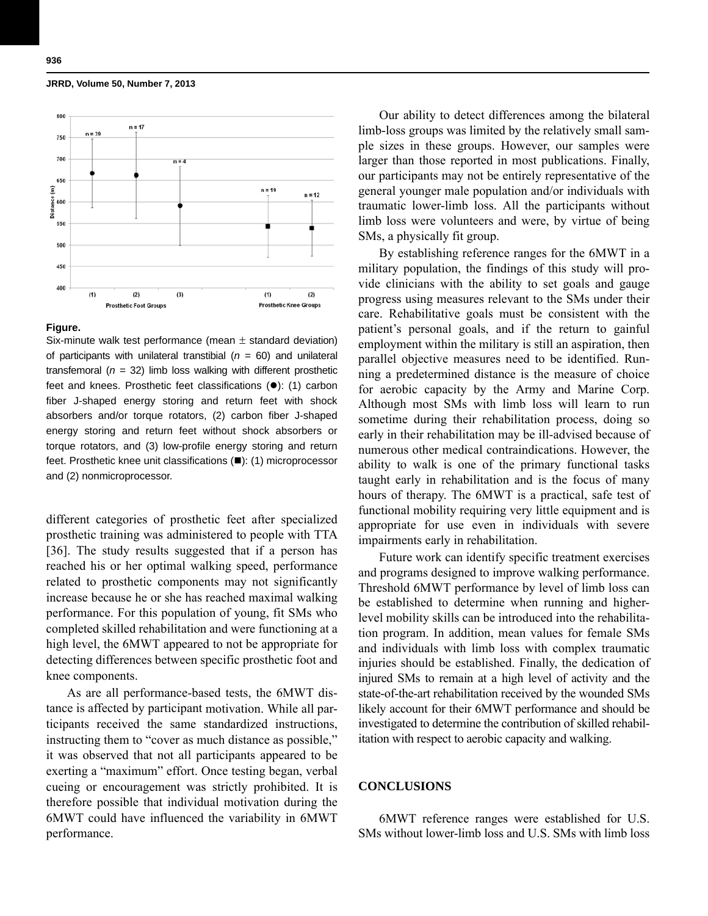

### **Figure.**

Six-minute walk test performance (mean  $\pm$  standard deviation) of participants with unilateral transtibial  $(n = 60)$  and unilateral transfemoral  $(n = 32)$  limb loss walking with different prosthetic feet and knees. Prosthetic feet classifications  $(•)$ : (1) carbon fiber J-shaped energy storing and return feet with shock absorbers and/or torque rotators, (2) carbon fiber J-shaped energy storing and return feet without shock absorbers or torque rotators, and (3) low-profile energy storing and return feet. Prosthetic knee unit classifications  $(\blacksquare)$ : (1) microprocessor and (2) nonmicroprocessor.

different categories of prosthetic feet after specialized prosthetic training was administered to people with TTA [36]. The study results suggested that if a person has reached his or her optimal walking speed, performance related to prosthetic components may not significantly increase because he or she has reached maximal walking performance. For this population of young, fit SMs who completed skilled rehabilitation and were functioning at a high level, the 6MWT appeared to not be appropriate for detecting differences between specific prosthetic foot and knee components.

As are all performance-based tests, the 6MWT distance is affected by participant motivation. While all participants received the same standardized instructions, instructing them to "cover as much distance as possible," it was observed that not all participants appeared to be exerting a "maximum" effort. Once testing began, verbal cueing or encouragement was strictly prohibited. It is therefore possible that individual motivation during the 6MWT could have influenced the variability in 6MWT performance.

Our ability to detect differences among the bilateral limb-loss groups was limited by the relatively small sample sizes in these groups. However, our samples were larger than those reported in most publications. Finally, our participants may not be entirely representative of the general younger male population and/or individuals with traumatic lower-limb loss. All the participants without limb loss were volunteers and were, by virtue of being SMs, a physically fit group.

By establishing reference ranges for the 6MWT in a military population, the findings of this study will provide clinicians with the ability to set goals and gauge progress using measures relevant to the SMs under their care. Rehabilitative goals must be consistent with the patient's personal goals, and if the return to gainful employment within the military is still an aspiration, then parallel objective measures need to be identified. Running a predetermined distance is the measure of choice for aerobic capacity by the Army and Marine Corp. Although most SMs with limb loss will learn to run sometime during their rehabilitation process, doing so early in their rehabilitation may be ill-advised because of numerous other medical contraindications. However, the ability to walk is one of the primary functional tasks taught early in rehabilitation and is the focus of many hours of therapy. The 6MWT is a practical, safe test of functional mobility requiring very little equipment and is appropriate for use even in individuals with severe impairments early in rehabilitation.

Future work can identify specific treatment exercises and programs designed to improve walking performance. Threshold 6MWT performance by level of limb loss can be established to determine when running and higherlevel mobility skills can be introduced into the rehabilitation program. In addition, mean values for female SMs and individuals with limb loss with complex traumatic injuries should be established. Finally, the dedication of injured SMs to remain at a high level of activity and the state-of-the-art rehabilitation received by the wounded SMs likely account for their 6MWT performance and should be investigated to determine the contribution of skilled rehabilitation with respect to aerobic capacity and walking.

# **CONCLUSIONS**

6MWT reference ranges were established for U.S. SMs without lower-limb loss and U.S. SMs with limb loss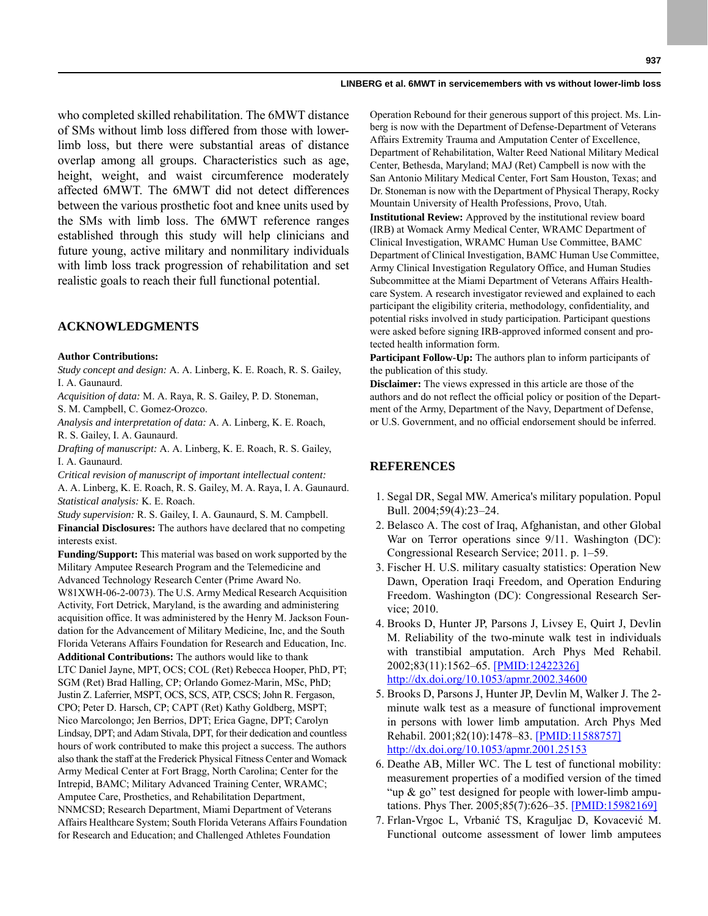who completed skilled rehabilitation. The 6MWT distance of SMs without limb loss differed from those with lowerlimb loss, but there were substantial areas of distance overlap among all groups. Characteristics such as age, height, weight, and waist circumference moderately affected 6MWT. The 6MWT did not detect differences between the various prosthetic foot and knee units used by the SMs with limb loss. The 6MWT reference ranges established through this study will help clinicians and future young, active military and nonmilitary individuals with limb loss track progression of rehabilitation and set realistic goals to reach their full functional potential.

# **ACKNOWLEDGMENTS**

#### **Author Contributions:**

*Study concept and design:* A. A. Linberg, K. E. Roach, R. S. Gailey, I. A. Gaunaurd.

*Acquisition of data:* M. A. Raya, R. S. Gailey, P. D. Stoneman, S. M. Campbell, C. Gomez-Orozco.

*Analysis and interpretation of data:* A. A. Linberg, K. E. Roach, R. S. Gailey, I. A. Gaunaurd.

*Drafting of manuscript:* A. A. Linberg, K. E. Roach, R. S. Gailey, I. A. Gaunaurd.

*Critical revision of manuscript of important intellectual content:* A. A. Linberg, K. E. Roach, R. S. Gailey, M. A. Raya, I. A. Gaunaurd. *Statistical analysis:* K. E. Roach.

*Study supervision:* R. S. Gailey, I. A. Gaunaurd, S. M. Campbell.

**Financial Disclosures:** The authors have declared that no competing interests exist.

**Funding/Support:** This material was based on work supported by the Military Amputee Research Program and the Telemedicine and Advanced Technology Research Center (Prime Award No. W81XWH-06-2-0073). The U.S. Army Medical Research Acquisition Activity, Fort Detrick, Maryland, is the awarding and administering acquisition office. It was administered by the Henry M. Jackson Foundation for the Advancement of Military Medicine, Inc, and the South Florida Veterans Affairs Foundation for Research and Education, Inc. **Additional Contributions:** The authors would like to thank LTC Daniel Jayne, MPT, OCS; COL (Ret) Rebecca Hooper, PhD, PT; SGM (Ret) Brad Halling, CP; Orlando Gomez-Marin, MSc, PhD; Justin Z. Laferrier, MSPT, OCS, SCS, ATP, CSCS; John R. Fergason, CPO; Peter D. Harsch, CP; CAPT (Ret) Kathy Goldberg, MSPT; Nico Marcolongo; Jen Berrios, DPT; Erica Gagne, DPT; Carolyn Lindsay, DPT; and Adam Stivala, DPT, for their dedication and countless hours of work contributed to make this project a success. The authors also thank the staff at the Frederick Physical Fitness Center and Womack Army Medical Center at Fort Bragg, North Carolina; Center for the Intrepid, BAMC; Military Advanced Training Center, WRAMC; Amputee Care, Prosthetics, and Rehabilitation Department, NNMCSD; Research Department, Miami Department of Veterans Affairs Healthcare System; South Florida Veterans Affairs Foundation for Research and Education; and Challenged Athletes Foundation

Operation Rebound for their generous support of this project. Ms. Linberg is now with the Department of Defense-Department of Veterans Affairs Extremity Trauma and Amputation Center of Excellence, Department of Rehabilitation, Walter Reed National Military Medical Center, Bethesda, Maryland; MAJ (Ret) Campbell is now with the San Antonio Military Medical Center, Fort Sam Houston, Texas; and Dr. Stoneman is now with the Department of Physical Therapy, Rocky Mountain University of Health Professions, Provo, Utah. **Institutional Review:** Approved by the institutional review board (IRB) at Womack Army Medical Center, WRAMC Department of Clinical Investigation, WRAMC Human Use Committee, BAMC Department of Clinical Investigation, BAMC Human Use Committee, Army Clinical Investigation Regulatory Office, and Human Studies Subcommittee at the Miami Department of Veterans Affairs Healthcare System. A research investigator reviewed and explained to each participant the eligibility criteria, methodology, confidentiality, and potential risks involved in study participation. Participant questions were asked before signing IRB-approved informed consent and protected health information form.

**Participant Follow-Up:** The authors plan to inform participants of the publication of this study.

**Disclaimer:** The views expressed in this article are those of the authors and do not reflect the official policy or position of the Department of the Army, Department of the Navy, Department of Defense, or U.S. Government, and no official endorsement should be inferred.

# **REFERENCES**

- 1. Segal DR, Segal MW. America's military population. Popul Bull. 2004;59(4):23–24.
- 2. Belasco A. The cost of Iraq, Afghanistan, and other Global War on Terror operations since  $9/11$ . Washington (DC): Congressional Research Service; 2011. p. 1–59.
- 3. Fischer H. U.S. military casualty statistics: Operation New Dawn, Operation Iraqi Freedom, and Operation Enduring Freedom. Washington (DC): Congressional Research Service; 2010.
- 4. Brooks D, Hunter JP, Parsons J, Livsey E, Quirt J, Devlin M. Reliability of the two-minute walk test in individuals with transtibial amputation. Arch Phys Med Rehabil. 2002;83(11):1562–65. [\[PMID:12422326\]](http://www.ncbi.nlm.nih.gov/entrez/query.fcgi?cmd=Retrieve&db=PubMed&list_uids=12422326&dopt=Abstract) <http://dx.doi.org/10.1053/apmr.2002.34600>
- 5. Brooks D, Parsons J, Hunter JP, Devlin M, Walker J. The 2 minute walk test as a measure of functional improvement in persons with lower limb amputation. Arch Phys Med Rehabil. 2001;82(10):1478–83. [[PMID:11588757\]](http://www.ncbi.nlm.nih.gov/entrez/query.fcgi?cmd=Retrieve&db=PubMed&list_uids=11588757&dopt=Abstract) <http://dx.doi.org/10.1053/apmr.2001.25153>
- 6. Deathe AB, Miller WC. The L test of functional mobility: measurement properties of a modified version of the timed "up  $\&$  go" test designed for people with lower-limb amputations. Phys Ther. 2005;85(7):626–35. [\[PMID:15982169\]](http://www.ncbi.nlm.nih.gov/entrez/query.fcgi?cmd=Retrieve&db=PubMed&list_uids=15982169&dopt=Abstract)
- 7. Frlan-Vrgoc L, Vrbanić TS, Kraguljac D, Kovacević M. Functional outcome assessment of lower limb amputees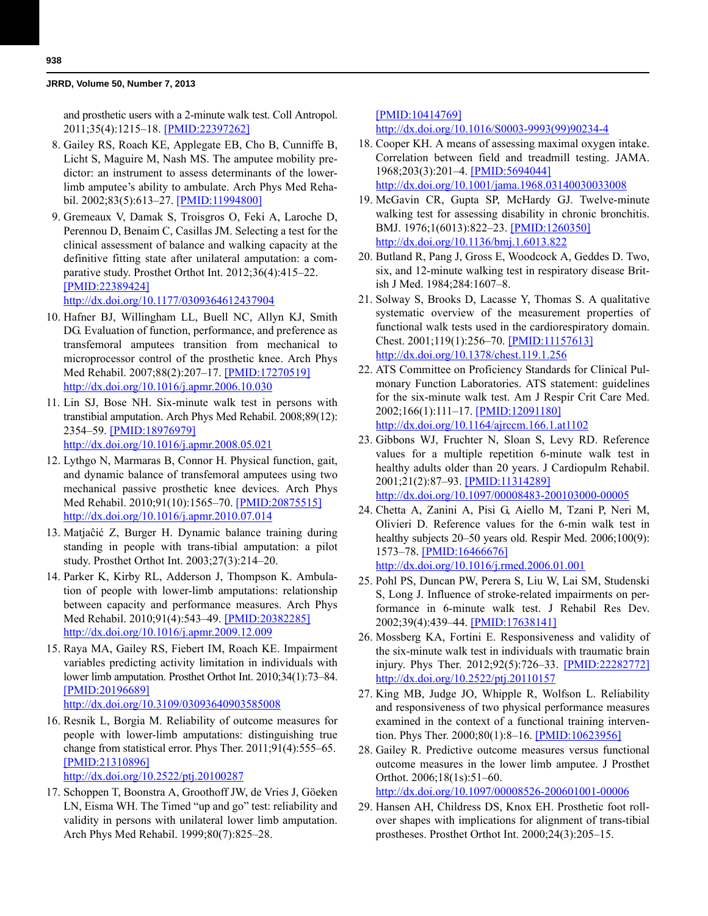and prosthetic users with a 2-minute walk test. Coll Antropol. 2011;35(4):1215–18. [\[PMID:22397262\]](http://www.ncbi.nlm.nih.gov/entrez/query.fcgi?cmd=Retrieve&db=PubMed&list_uids=22397262&dopt=Abstract)

- 8. Gailey RS, Roach KE, Applegate EB, Cho B, Cunniffe B, Licht S, Maguire M, Nash MS. The amputee mobility predictor: an instrument to assess determinants of the lowerlimb amputee's ability to ambulate. Arch Phys Med Rehabil. 2002;83(5):613–27. [\[PMID:11994800\]](http://www.ncbi.nlm.nih.gov/entrez/query.fcgi?cmd=Retrieve&db=PubMed&list_uids=11994800&dopt=Abstract)
- 9. Gremeaux V, Damak S, Troisgros O, Feki A, Laroche D, Perennou D, Benaim C, Casillas JM. Selecting a test for the clinical assessment of balance and walking capacity at the definitive fitting state after unilateral amputation: a comparative study. Prosthet Orthot Int. 2012;36(4):415–22. [\[PMID:22389424\]](http://www.ncbi.nlm.nih.gov/entrez/query.fcgi?cmd=Retrieve&db=PubMed&list_uids=22389424&dopt=Abstract)

<http://dx.doi.org/10.1177/0309364612437904>

- 10. Hafner BJ, Willingham LL, Buell NC, Allyn KJ, Smith DG. Evaluation of function, performance, and preference as transfemoral amputees transition from mechanical to microprocessor control of the prosthetic knee. Arch Phys Med Rehabil. 2007;88(2):207–17. [\[PMID:17270519\]](http://www.ncbi.nlm.nih.gov/entrez/query.fcgi?cmd=Retrieve&db=PubMed&list_uids=17270519&dopt=Abstract) <http://dx.doi.org/10.1016/j.apmr.2006.10.030>
- 11. Lin SJ, Bose NH. Six-minute walk test in persons with transtibial amputation. Arch Phys Med Rehabil. 2008;89(12): 2354–59. [\[PMID:18976979\]](http://www.ncbi.nlm.nih.gov/entrez/query.fcgi?cmd=Retrieve&db=PubMed&list_uids=18976979&dopt=Abstract) <http://dx.doi.org/10.1016/j.apmr.2008.05.021>
- 12. Lythgo N, Marmaras B, Connor H. Physical function, gait, and dynamic balance of transfemoral amputees using two mechanical passive prosthetic knee devices. Arch Phys Med Rehabil. 2010;91(10):1565-70. [\[PMID:20875515\]](http://www.ncbi.nlm.nih.gov/entrez/query.fcgi?cmd=Retrieve&db=PubMed&list_uids=20875515&dopt=Abstract) [h](http://www.ncbi.nlm.nih.gov/entrez/query.fcgi?cmd=Retrieve&db=PubMed&list_uids=20875515&dopt=Abstract)[ttp://dx.doi.org/10.1016/j.apmr.2010.07.014](http://dx.doi.org/10.1016/j.apmr.2010.07.014)
- 13. Matjaĉić Z, Burger H. Dynamic balance training during standing in people with trans-tibial amputation: a pilot study. Prosthet Orthot Int. 2003;27(3):214–20.
- 14. Parker K, Kirby RL, Adderson J, Thompson K. Ambulation of people with lower-limb amputations: relationship between capacity and performance measures. Arch Phys Med Rehabil. 2010;91(4):543–49. [\[PMID:20382285\]](http://www.ncbi.nlm.nih.gov/entrez/query.fcgi?cmd=Retrieve&db=PubMed&list_uids=20382285&dopt=Abstract) <http://dx.doi.org/10.1016/j.apmr.2009.12.009>
- 15. Raya MA, Gailey RS, Fiebert IM, Roach KE. Impairment variables predicting activity limitation in individuals with lower limb amputation. Prosthet Orthot Int. 2010;34(1):73–84. [\[PMID:20196689\]](http://www.ncbi.nlm.nih.gov/entrez/query.fcgi?cmd=Retrieve&db=PubMed&list_uids=20196689&dopt=Abstract) <http://dx.doi.org/10.3109/03093640903585008>
- 16. Resnik L, Borgia M. Reliability of outcome measures for people with lower-limb amputations: distinguishing true change from statistical error. Phys Ther. 2011;91(4):555–65. [\[PMID:21310896\]](http://www.ncbi.nlm.nih.gov/entrez/query.fcgi?cmd=Retrieve&db=PubMed&list_uids=21310896&dopt=Abstract)

<http://dx.doi.org/10.2522/ptj.20100287>

17. Schoppen T, Boonstra A, Groothoff JW, de Vries J, Göeken LN, Eisma WH. The Timed "up and go" test: reliability and validity in persons with unilateral lower limb amputation. Arch Phys Med Rehabil. 1999;80(7):825–28.

[\[PMID:10414769\]](http://www.ncbi.nlm.nih.gov/entrez/query.fcgi?cmd=Retrieve&db=PubMed&list_uids=10414769&dopt=Abstract)

[http://dx.doi.org/10.1016/S0003-9993\(99\)90234-4](http://dx.doi.org/10.1016/S0003-9993(99)90234-4)

- 18. Cooper KH. A means of assessing maximal oxygen intake. Correlation between field and treadmill testing. JAMA. 1968;203(3):201–4. [\[PMID:5694044\]](http://www.ncbi.nlm.nih.gov/entrez/query.fcgi?cmd=Retrieve&db=PubMed&list_uids=5694044&dopt=Abstract) <http://dx.doi.org/10.1001/jama.1968.03140030033008>
- 19. McGavin CR, Gupta SP, McHardy GJ. Twelve-minute walking test for assessing disability in chronic bronchitis. BMJ. 1976;1(6013):822–23. [\[PMID:1260350\]](http://www.ncbi.nlm.nih.gov/entrez/query.fcgi?cmd=Retrieve&db=PubMed&list_uids=1260350&dopt=Abstract) <http://dx.doi.org/10.1136/bmj.1.6013.822>
- 20. Butland R, Pang J, Gross E, Woodcock A, Geddes D. Two, six, and 12-minute walking test in respiratory disease British J Med. 1984;284:1607–8.
- 21. Solway S, Brooks D, Lacasse Y, Thomas S. A qualitative systematic overview of the measurement properties of functional walk tests used in the cardiorespiratory domain. Chest. 2001;119(1):256–70. [\[PMID:11157613\]](http://www.ncbi.nlm.nih.gov/entrez/query.fcgi?cmd=Retrieve&db=PubMed&list_uids=11157613&dopt=Abstract) <http://dx.doi.org/10.1378/chest.119.1.256>
- 22. ATS Committee on Proficiency Standards for Clinical Pulmonary Function Laboratories. ATS statement: guidelines for the six-minute walk test. Am J Respir Crit Care Med. 2002;166(1):111–17. [[PMID:12091180\]](http://www.ncbi.nlm.nih.gov/entrez/query.fcgi?cmd=Retrieve&db=PubMed&list_uids=12091180&dopt=Abstract) <http://dx.doi.org/10.1164/ajrccm.166.1.at1102>
- 23. Gibbons WJ, Fruchter N, Sloan S, Levy RD. Reference values for a multiple repetition 6-minute walk test in healthy adults older than 20 years. J Cardiopulm Rehabil. 2001;21(2):87–93. [\[PMID:11314289\]](http://www.ncbi.nlm.nih.gov/entrez/query.fcgi?cmd=Retrieve&db=PubMed&list_uids=11314289&dopt=Abstract) <http://dx.doi.org/10.1097/00008483-200103000-00005>
- 24. Chetta A, Zanini A, Pisi G, Aiello M, Tzani P, Neri M, Olivieri D. Reference values for the 6-min walk test in healthy subjects 20–50 years old. Respir Med. 2006;100(9): 1573–78. [\[PMID:16466676\]](http://www.ncbi.nlm.nih.gov/entrez/query.fcgi?cmd=Retrieve&db=PubMed&list_uids=16466676&dopt=Abstract) <http://dx.doi.org/10.1016/j.rmed.2006.01.001>
- 25. Pohl PS, Duncan PW, Perera S, Liu W, Lai SM, Studenski S, Long J. Influence of stroke-related impairments on performance in 6-minute walk test. J Rehabil Res Dev. 2002;39(4):439–44. [\[PMID:17638141\]](http://www.ncbi.nlm.nih.gov/entrez/query.fcgi?cmd=Retrieve&db=PubMed&list_uids=17638141&dopt=Abstract)
- 26. Mossberg KA, Fortini E. Responsiveness and validity of the six-minute walk test in individuals with traumatic brain injury. Phys Ther. 2012;92(5):726–33. [\[PMID:22282772\]](http://www.ncbi.nlm.nih.gov/entrez/query.fcgi?cmd=Retrieve&db=PubMed&list_uids=22282772&dopt=Abstract) <http://dx.doi.org/10.2522/ptj.20110157>
- 27. King MB, Judge JO, Whipple R, Wolfson L. Reliability and responsiveness of two physical performance measures examined in the context of a functional training intervention. Phys Ther. 2000;80(1):8–16. [\[PMID:10623956\]](http://www.ncbi.nlm.nih.gov/entrez/query.fcgi?cmd=Retrieve&db=PubMed&list_uids=10623956&dopt=Abstract)
- 28. Gailey R. Predictive outcome measures versus functional outcome measures in the lower limb amputee. J Prosthet Orthot. 2006;18(1s):51–60. <http://dx.doi.org/10.1097/00008526-200601001-00006>
- 29. Hansen AH, Childress DS, Knox EH. Prosthetic foot rollover shapes with implications for alignment of trans-tibial prostheses. Prosthet Orthot Int. 2000;24(3):205–15.